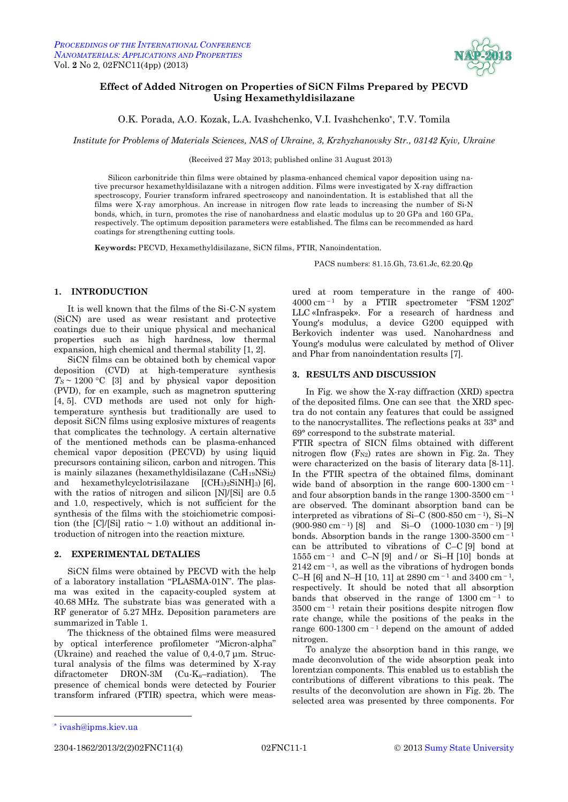

# <span id="page-0-3"></span><span id="page-0-2"></span><span id="page-0-1"></span><span id="page-0-0"></span>**Effect of Added Nitrogen on Properties of SiCN Films Prepared by PECVD Using Hexamethyldisilazane**

O.K. Porada, A.O. Kozak, L.A. Ivashchenko, V.I. Ivashchenko\*, T.V. Tomila

*Institute for Problems of Materials Sciences, NAS of Ukraine, 3, Krzhyzhanovsky Str., 03142 Kyiv, Ukraine*

(Received 27 May 2013; published online 31 August 2013)

Silicon carbonitride thin films were obtained by plasma-enhanced chemical vapor deposition using native precursor hexamethyldisilazane with a nitrogen addition. Films were investigated by X-ray diffraction spectroscopy, Fourier transform infrared spectroscopy and nanoindentation. It is established that all the films were X-ray amorphous. An increase in nitrogen flow rate leads to increasing the number of Si-N bonds, which, in turn, promotes the rise of nanohardness and elastic modulus up to 20 GPa and 160 GPa, respectively. The optimum deposition parameters were established. The films can be recommended as hard coatings for strengthening cutting tools.

**Keywords:** PECVD, Hexamethyldisilazane, SiCN films, FTIR, Nanoindentation.

PACS numbers: 81.15.Gh, 73.61.Jc, 62.20.Qp

### **1. INTRODUCTION**

It is well known that the films of the Si-C-N system (SiCN) are used as wear resistant and protective coatings due to their unique physical and mechanical properties such as high hardness, low thermal expansion, high chemical and thermal stability [1, 2].

SіCN films can be obtained both by chemical vapor deposition (CVD) at high-temperature synthesis  $T_S \sim 1200$  °C [3] and by physical vapor deposition (PVD), for en example, such as magnetron sputtering [4, 5]. CVD methods are used not only for hightemperature synthesis but traditionally are used to deposit SiCN films using explosive mixtures of reagents that complicates the technology. A certain alternative of the mentioned methods can be plasma-enhanced chemical vapor deposition (PECVD) by using liquid precursors containing silicon, carbon and nitrogen. This is mainly silazanes (hexamethyldisilazane (C6H19NSi2) and hexamethylcyclotrisilazane  $[(CH_3)_2\text{SiNH}_3)$  [6], with the ratios of nitrogen and silicon [N]/[Si] are 0.5 and 1.0, respectively, which is not sufficient for the synthesis of the films with the stoichiometric composition (the  $\text{[C]/[Si]}$  ratio  $\sim$  1.0) without an additional introduction of nitrogen into the reaction mixture.

#### **2. EXPERIMENTAL DETALIES**

SiCN films were obtained by PECVD with the help of a laboratory installation "PLASMA-01N". The plasma was exited in the capacity-coupled system at 40.68 MHz. The substrate bias was generated with a RF generator of 5.27 MHz. Deposition parameters are summarized in Table 1.

The thickness of the obtained films were measured by optical interference profilometer "Micron-alpha" (Ukraine) and reached the value of 0,4-0,7 μm. Structural analysis of the films was determined by X-ray difractometer DRON-3M (Cu-K<sub>α</sub>-radiation). The presence of chemical bonds were detected by Fourier transform infrared (FTIR) spectra, which were measured at room temperature in the range of 400-  $4000 \text{ cm}^{-1}$  by a FTIR spectrometer "FSM 1202" LLC «Infraspek». For a research of hardness and Young's modulus, a device G200 equipped with Berkovich indenter was used. Nanohardness and Young's modulus were calculated by method of Oliver and Phar from nanoindentation results [7].

### **3. RESULTS AND DISCUSSION**

In Fig. we show the X-ray diffraction (XRD) spectra of the deposited films. One can see that the XRD spectra do not contain any features that could be assigned to the nanocrystallites. The reflections peaks at 33° and 69° correspond to the substrate material.

FTIR spectra of SICN films obtained with different nitrogen flow  $(F_{N2})$  rates are shown in Fig. 2a. They were characterized on the basis of literary data [8-11]. In the FTIR spectra of the obtained films, dominant wide band of absorption in the range  $600-1300$  cm<sup>-1</sup> and four absorption bands in the range  $1300-3500$  cm<sup>-1</sup> are observed. The dominant absorption band can be interpreted as vibrations of Si–C (800-850 cm $^{-1}$ ), Si–N  $(900-980 \text{ cm}^{-1})$  [8] and Si-O  $(1000-1030 \text{ cm}^{-1})$  [9] bonds. Absorption bands in the range 1300-3500 cm – <sup>1</sup> can be attributed to vibrations of C–C [9] bond at  $1555$  cm<sup>-1</sup> and C-N [9] and / or Si-H [10] bonds at  $2142$  cm<sup>-1</sup>, as well as the vibrations of hydrogen bonds C–H [6] and N–H [10, 11] at 2890 cm<sup>-1</sup> and 3400 cm<sup>-1</sup>, respectively. It should be noted that all absorption bands that observed in the range of  $1300 \text{ cm}^{-1}$  to  $3500 \text{ cm}^{-1}$  retain their positions despite nitrogen flow rate change, while the positions of the peaks in the range  $600-1300$  cm<sup> $-1$ </sup> depend on the amount of added nitrogen.

To analyze the absorption band in this range, we made deconvolution of the wide absorption peak into lorentzian components. This enabled us to establish the contributions of different vibrations to this peak. The results of the deconvolution are shown in Fig. 2b. The selected area was presented by three components. For

1

2304-1862[/2013/](#page-0-0)[2\(](#page-0-1)[2\)](#page-0-2)[02FNC11\(](#page-0-3)4) [02FNC11-](#page-0-3)1 © [2013](#page-0-0) [Sumy State University](http://sumdu.edu.ua/)

<sup>\*</sup> [ivash@ipms.kiev.ua](mailto:ivash@ipms.kiev.ua)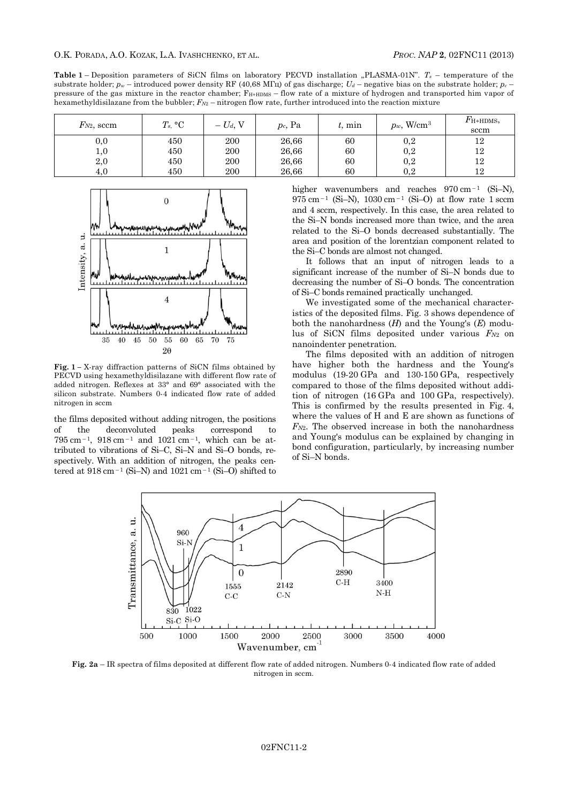**Table 1** – Deposition parameters of SiCN films on laboratory PECVD installation "PLASMA-01N".  $T_s$  – temperature of the substrate holder;  $p_w$  – introduced power density RF (40,68 MFu) of gas discharge;  $U_d$  – negative bias on the substrate holder;  $p_c$ pressure of the gas mixture in the reactor chamber; FH+HDMS – flow rate of a mixture of hydrogen and transported him vapor of hexamethyldisilazane from the bubbler; *FN*<sup>2</sup> – nitrogen flow rate, further introduced into the reaction mixture

| $F_{N2}$ , sccm | $T_s$ , °C | $- U_d$ , V | $p_c$ , Pa | $t$ , min | $p_w$ , W/cm <sup>3</sup> | $F_{\text{H+HDMS}}$<br>sccm |
|-----------------|------------|-------------|------------|-----------|---------------------------|-----------------------------|
| $_{\rm 0,0}$    | 450        | 200         | 26,66      | 60        | 0,2                       | 12                          |
| $_{1,0}$        | 450        | 200         | 26,66      | 60        | $_{0,2}$                  | 12                          |
| 2,0             | 450        | 200         | 26,66      | 60        | 0,2                       | 12                          |
| 4.0             | 450        | 200         | 26,66      | 60        | 0.2                       | 19.                         |



**Fig. 1 –** X-ray diffraction patterns of SiCN films obtained by PECVD using hexamethyldisilazane with different flow rate of added nitrogen. Reflexes at 33° and 69° associated with the silicon substrate. Numbers 0-4 indicated flow rate of added nitrogen in sccm

the films deposited without adding nitrogen, the positions of the deconvoluted peaks correspond to  $795 \text{ cm}^{-1}$ ,  $918 \text{ cm}^{-1}$  and  $1021 \text{ cm}^{-1}$ , which can be attributed to vibrations of Si–C, Si–N and Si–O bonds, respectively. With an addition of nitrogen, the peaks centered at  $918 \text{ cm}^{-1}$  (Si-N) and  $1021 \text{ cm}^{-1}$  (Si-O) shifted to

higher wavenumbers and reaches  $970 \text{ cm}^{-1}$  (Si-N),  $975 \text{ cm}^{-1}$  (Si-N),  $1030 \text{ cm}^{-1}$  (Si-O) at flow rate 1 sccm and 4 sccm, respectively. In this case, the area related to the Si–N bonds increased more than twice, and the area related to the Si–O bonds decreased substantially. The area and position of the lorentzian component related to the Si–C bonds are almost not changed.

It follows that an input of nitrogen leads to a significant increase of the number of Si–N bonds due to decreasing the number of Si–O bonds. The concentration of Si–C bonds remained practically unchanged.

We investigated some of the mechanical characteristics of the deposited films. Fig. 3 shows dependence of both the nanohardness (*H*) and the Young's (*E*) modulus of SiCN films deposited under various *FN*2 on nanoindenter penetration.

The films deposited with an addition of nitrogen have higher both the hardness and the Young's modulus (19-20 GPa and 130-150 GPa, respectively compared to those of the films deposited without addition of nitrogen (16 GPa and 100 GPa, respectively). This is confirmed by the results presented in Fig. 4, where the values of H and E are shown as functions of *FN*2. The observed increase in both the nanohardness and Young's modulus can be explained by changing in bond configuration, particularly, by increasing number of Si–N bonds.



**Fig. 2a** – IR spectra of films deposited at different flow rate of added nitrogen. Numbers 0-4 indicated flow rate of added nitrogen in sccm.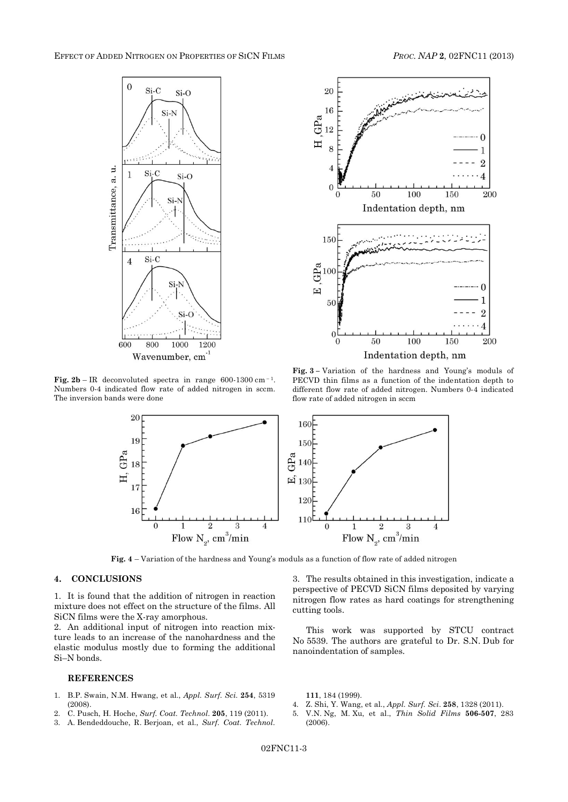

**Fig. 2b** – IR deconvoluted spectra in range  $600-1300 \text{ cm}^{-1}$ . Numbers 0-4 indicated flow rate of added nitrogen in sccm. The inversion bands were done



**Fig. 3 –** Variation of the hardness and Young's moduls of PECVD thin films as a function of the indentation depth to different flow rate of added nitrogen. Numbers 0-4 indicated flow rate of added nitrogen in sccm



**Fig. 4** – Variation of the hardness and Young's moduls as a function of flow rate of added nitrogen

## **4. CONCLUSIONS**

1. It is found that the addition of nitrogen in reaction mixture does not effect on the structure of the films. All SiCN films were the X-ray amorphous.

2. An additional input of nitrogen into reaction mixture leads to an increase of the nanohardness and the elastic modulus mostly due to forming the additional Si–N bonds.

#### **REFERENCES**

- 1. B.P. Swain, N.M. Hwang, et al., *Appl. Surf. Sci.* **254**, 5319 (2008).
- 2. C. Pusch, H. Hoche, *Surf. Coat. Technol*. **205**, 119 (2011).
- 3. A. Bendeddouche, R. Berjoan, et al., *Surf. Coat. Technol*.

3. The results obtained in this investigation, indicate a perspective of PECVD SiCN films deposited by varying nitrogen flow rates as hard coatings for strengthening cutting tools.

This work was supported by STCU contract No 5539. The authors are grateful to Dr. S.N. Dub for nanoindentation of samples.

**111**, 184 (1999).

- 4. Z. Shi, Y. Wang, et al., *Appl. Surf. Sci*. **258**, 1328 (2011).
- 5. V.N. Ng, M. Xu, et al., *Thin Solid Films* **506-507**, 283 (2006).